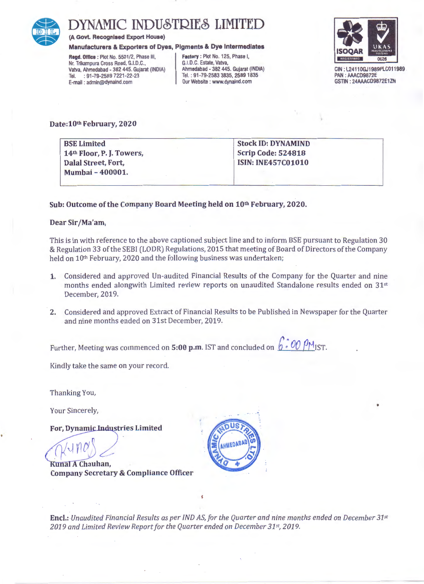

## YNAMIC INDUSTRIES LIMITED

(A Govt. Recognised Export House)

Manufacturers & Exporters of Dyes, Pigments & Dye Intermediates

Regd. Office : Plot No. 5501/2, Phase Ill, Nr. Trikampura Cross Road, G.I.D.C., Vatva, Ahmedabad - 382 445. Gujarat (INDIA) Tel. : 91-79-2589 7221-22-23 E-mail : admin@dynaind.com

Factory : Plot No. 125, Phase I, G.l.D.C. Estate, Vatva, Ahmadabad - 382 445. Gujarat (INDIA) Tel. : 91-79-2583 3835, 25891835 Our Website : www.dynaind.com



GIN : L2411OGJ1989PLC011989 PAN : AAACD9872E GSTIN: 24AAACD9872E1ZN

•

Date: 10th February, 2020

| <b>BSE Limited</b>                   | <b>Stock ID: DYNAMIND</b> |
|--------------------------------------|---------------------------|
| 14 <sup>th</sup> Floor, P.J. Towers, | <b>Scrip Code: 524818</b> |
| Dalal Street, Fort,                  | <b>ISIN: INE457C01010</b> |
| Mumbai - 400001.                     |                           |
|                                      |                           |

#### Sub: Outcome of the Company Board Meeting held on 10th February, 2020.

#### Dear Sir/Ma'am,

This is in with reference to the above captioned subject line and to inform BSE pursuant to Regulation 30 & Regulation 33 of the SEBI (LODR) Regulations, 2015 that meeting of Board of Directors of the Company held on 10th February, 2020 and the following business was undertaken;

- 1. Considered and approved Un-audited Financial Results of the Company for the Quarter and nine months ended alongwith Limited review reports on unaudited Standalone results ended on 31st December, 2019.
- 2. Considered and approved Extract of Financial Results to be Published in Newspaper for the Quarter and nine months ended on 31st December, 2019.

Further, Meeting was commenced on 5:00 p.m. IST and concluded on  $6$  . 00  $\beta$  M<sub>IST</sub>.

Kindly take the same on your record.

Thanking You,

Your Sincerely,

For, Dynamic Industries Limited

Kunal A Chauhan, **Company Secretary & Compliance Officer** 



Encl.: *Unaudited Financial Results as per IND AS, for the Quarter and nine months ended on December 31st 2019 and Limited Review Report for the Quarter ended on December 31 st, 2019.*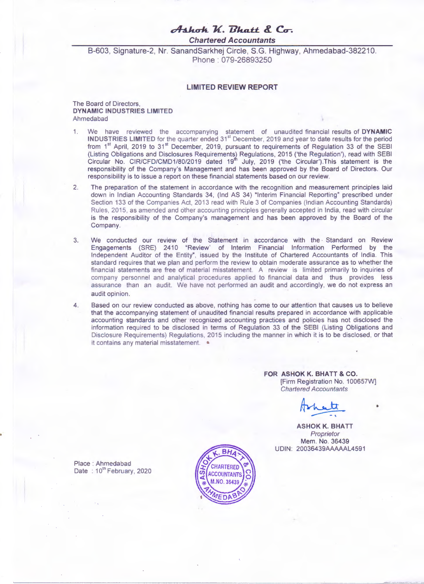### *c/h.h.uh. 1{. I1hat.t. 8..* **Cr.**

**Chartered Accountants** 

B-603, Signature-2, Nr. SanandSarkhej Circle, S.G. Highway, Ahmedabad-382210. Phone : 079-26893250

#### **LIMITED REVIEW REPORT**

#### The Board of Directors, **DYNAMIC INDUSTRIES LIMITED**  Ahmedabad

- 1. We have reviewed the accompanying statement of unaudited financial results of **DYNAMIC INDUSTRIES LIMITED** for the quarter ended 31<sup>st</sup> December, 2019 and year to date results for the period from 1<sup>st</sup> April, 2019 to 31<sup>st</sup> December, 2019, pursuant to requirements of Regulation 33 of the SEBI (Listing Obligations and Disclosures Requirements~ Regulations, 2015 ('the Regulation'), read with SEBI Circular No. CIR/CFD/CMD1/80/2019 dated 19<sup>th</sup> July, 2019 ('the Circular').This statement is the responsibility of the Company's Management and has been approved by the Board of Directors. Our responsibility is to issue a report on these financial statements based on our review.
- 2. The preparation of the statement in accordance with the recognition and measurement principles laid down in Indian Accounting Standards 34, (Ind AS 34) "Interim Financial Reporting" prescribed under Section 133 of the Companies Act, 2013 read with Rule 3 of Companies (Indian Accounting Standards) Rules, 2015, as amended and other accounting principles generally accepted in India, read with circular is the responsibility of the Company's management and has been approved by the Board of the Company.
- 3. We conducted our review of the Statement in accordance with the Standard on Review Engagements (SRE) 2410 "Review' of Interim Financial Information Performed by the Independent Auditor of the Entity", issued by the Institute of Chartered Accountants of India. This standard requires that we plan and perform the review to obtain moderate assurance as to whether the financial statements are free of material misstatement. A review is limited primarily to inquiries of company personnel and analytical procedures applied to financial data and thus provides less assurance than an audit. We have not performed an audit and accordingly, we do not express an audit opinion.
- 4. Based on our review conducted as above, nothing has come to our attention that causes us to believe that the accompanying statement of unaudited financial results prepared in accordance with applicable accounting standards and other recognized accounting practices and policies has not disclosed the information required to be disclosed in terms of Regulation 33 of the SEBI (Listing Obligations and Disclosure Requirements) Regulations. 2015 including the manner in which it is to be disclosed , or that it contains any material misstatement.  $\bullet$

**FOR ASHOK K. BHATT & CO.**  Firm Registration No. 100657W]<br>Chartered Accountants<br>**Archivective** Chartered Accountants

**ASHOK K. BHATT**  Proprietor Mem. No. 36439 UDIN: 20036439AAAAAL4591

Place : Ahmedabad Date: 10<sup>th</sup> February, 2020